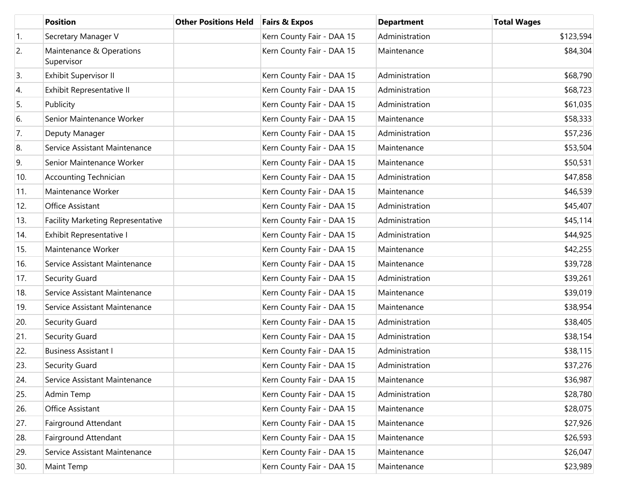|                  | <b>Position</b>                        | <b>Other Positions Held</b> | <b>Fairs &amp; Expos</b>  | <b>Department</b> | <b>Total Wages</b> |
|------------------|----------------------------------------|-----------------------------|---------------------------|-------------------|--------------------|
| $\overline{1}$ . | Secretary Manager V                    |                             | Kern County Fair - DAA 15 | Administration    | \$123,594          |
| 2.               | Maintenance & Operations<br>Supervisor |                             | Kern County Fair - DAA 15 | Maintenance       | \$84,304           |
| 3.               | Exhibit Supervisor II                  |                             | Kern County Fair - DAA 15 | Administration    | \$68,790           |
| 4.               | Exhibit Representative II              |                             | Kern County Fair - DAA 15 | Administration    | \$68,723           |
| 5.               | Publicity                              |                             | Kern County Fair - DAA 15 | Administration    | \$61,035           |
| 6.               | Senior Maintenance Worker              |                             | Kern County Fair - DAA 15 | Maintenance       | \$58,333           |
| 7.               | Deputy Manager                         |                             | Kern County Fair - DAA 15 | Administration    | \$57,236           |
| 8.               | Service Assistant Maintenance          |                             | Kern County Fair - DAA 15 | Maintenance       | \$53,504           |
| 9.               | Senior Maintenance Worker              |                             | Kern County Fair - DAA 15 | Maintenance       | \$50,531           |
| 10.              | <b>Accounting Technician</b>           |                             | Kern County Fair - DAA 15 | Administration    | \$47,858           |
| 11.              | Maintenance Worker                     |                             | Kern County Fair - DAA 15 | Maintenance       | \$46,539           |
| 12.              | Office Assistant                       |                             | Kern County Fair - DAA 15 | Administration    | \$45,407           |
| 13.              | Facility Marketing Representative      |                             | Kern County Fair - DAA 15 | Administration    | \$45,114           |
| 14.              | Exhibit Representative I               |                             | Kern County Fair - DAA 15 | Administration    | \$44,925           |
| 15.              | Maintenance Worker                     |                             | Kern County Fair - DAA 15 | Maintenance       | \$42,255           |
| 16.              | Service Assistant Maintenance          |                             | Kern County Fair - DAA 15 | Maintenance       | \$39,728           |
| 17.              | Security Guard                         |                             | Kern County Fair - DAA 15 | Administration    | \$39,261           |
| 18.              | Service Assistant Maintenance          |                             | Kern County Fair - DAA 15 | Maintenance       | \$39,019           |
| 19.              | Service Assistant Maintenance          |                             | Kern County Fair - DAA 15 | Maintenance       | \$38,954           |
| 20.              | Security Guard                         |                             | Kern County Fair - DAA 15 | Administration    | \$38,405           |
| 21.              | Security Guard                         |                             | Kern County Fair - DAA 15 | Administration    | \$38,154           |
| 22.              | <b>Business Assistant I</b>            |                             | Kern County Fair - DAA 15 | Administration    | \$38,115           |
| 23.              | Security Guard                         |                             | Kern County Fair - DAA 15 | Administration    | \$37,276           |
| 24.              | Service Assistant Maintenance          |                             | Kern County Fair - DAA 15 | Maintenance       | \$36,987           |
| 25.              | Admin Temp                             |                             | Kern County Fair - DAA 15 | Administration    | \$28,780           |
| 26.              | Office Assistant                       |                             | Kern County Fair - DAA 15 | Maintenance       | \$28,075           |
| 27.              | Fairground Attendant                   |                             | Kern County Fair - DAA 15 | Maintenance       | \$27,926           |
| 28.              | Fairground Attendant                   |                             | Kern County Fair - DAA 15 | Maintenance       | \$26,593           |
| 29.              | Service Assistant Maintenance          |                             | Kern County Fair - DAA 15 | Maintenance       | \$26,047           |
| 30.              | Maint Temp                             |                             | Kern County Fair - DAA 15 | Maintenance       | \$23,989           |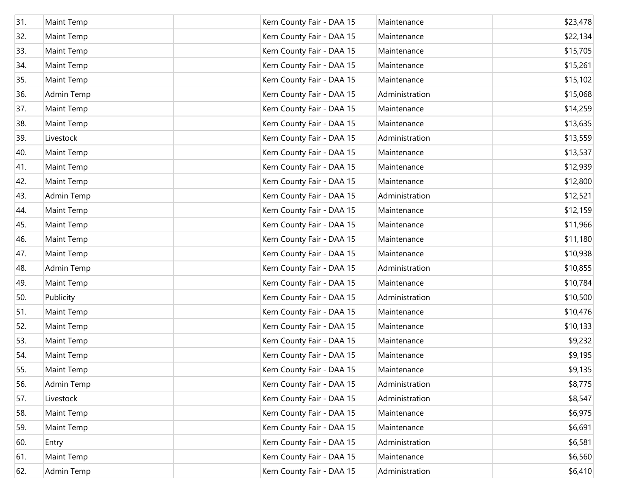| 31. | <b>Maint Temp</b> | Kern County Fair - DAA 15 | Maintenance    | \$23,478 |
|-----|-------------------|---------------------------|----------------|----------|
| 32. | Maint Temp        | Kern County Fair - DAA 15 | Maintenance    | \$22,134 |
| 33. | Maint Temp        | Kern County Fair - DAA 15 | Maintenance    | \$15,705 |
| 34. | Maint Temp        | Kern County Fair - DAA 15 | Maintenance    | \$15,261 |
| 35. | Maint Temp        | Kern County Fair - DAA 15 | Maintenance    | \$15,102 |
| 36. | Admin Temp        | Kern County Fair - DAA 15 | Administration | \$15,068 |
| 37. | Maint Temp        | Kern County Fair - DAA 15 | Maintenance    | \$14,259 |
| 38. | Maint Temp        | Kern County Fair - DAA 15 | Maintenance    | \$13,635 |
| 39. | Livestock         | Kern County Fair - DAA 15 | Administration | \$13,559 |
| 40. | Maint Temp        | Kern County Fair - DAA 15 | Maintenance    | \$13,537 |
| 41. | Maint Temp        | Kern County Fair - DAA 15 | Maintenance    | \$12,939 |
| 42. | Maint Temp        | Kern County Fair - DAA 15 | Maintenance    | \$12,800 |
| 43. | Admin Temp        | Kern County Fair - DAA 15 | Administration | \$12,521 |
| 44. | Maint Temp        | Kern County Fair - DAA 15 | Maintenance    | \$12,159 |
| 45. | Maint Temp        | Kern County Fair - DAA 15 | Maintenance    | \$11,966 |
| 46. | Maint Temp        | Kern County Fair - DAA 15 | Maintenance    | \$11,180 |
| 47. | Maint Temp        | Kern County Fair - DAA 15 | Maintenance    | \$10,938 |
| 48. | Admin Temp        | Kern County Fair - DAA 15 | Administration | \$10,855 |
| 49. | Maint Temp        | Kern County Fair - DAA 15 | Maintenance    | \$10,784 |
| 50. | Publicity         | Kern County Fair - DAA 15 | Administration | \$10,500 |
| 51. | Maint Temp        | Kern County Fair - DAA 15 | Maintenance    | \$10,476 |
| 52. | <b>Maint Temp</b> | Kern County Fair - DAA 15 | Maintenance    | \$10,133 |
| 53. | Maint Temp        | Kern County Fair - DAA 15 | Maintenance    | \$9,232  |
| 54. | <b>Maint Temp</b> | Kern County Fair - DAA 15 | Maintenance    | \$9,195  |
| 55. | Maint Temp        | Kern County Fair - DAA 15 | Maintenance    | \$9,135  |
| 56. | Admin Temp        | Kern County Fair - DAA 15 | Administration | \$8,775  |
| 57. | Livestock         | Kern County Fair - DAA 15 | Administration | \$8,547  |
| 58. | Maint Temp        | Kern County Fair - DAA 15 | Maintenance    | \$6,975  |
| 59. | Maint Temp        | Kern County Fair - DAA 15 | Maintenance    | \$6,691  |
| 60. | Entry             | Kern County Fair - DAA 15 | Administration | \$6,581  |
| 61. | Maint Temp        | Kern County Fair - DAA 15 | Maintenance    | \$6,560  |
| 62. | Admin Temp        | Kern County Fair - DAA 15 | Administration | \$6,410  |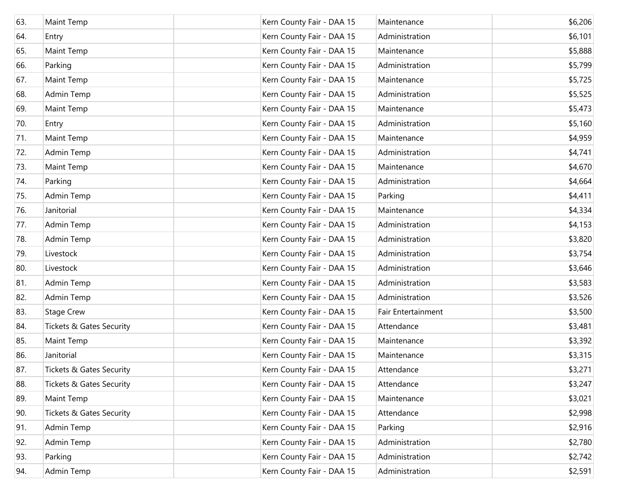| 63. | Maint Temp                          | Kern County Fair - DAA 15 | Maintenance        | \$6,206 |
|-----|-------------------------------------|---------------------------|--------------------|---------|
| 64. | Entry                               | Kern County Fair - DAA 15 | Administration     | \$6,101 |
| 65. | Maint Temp                          | Kern County Fair - DAA 15 | Maintenance        | \$5,888 |
| 66. | Parking                             | Kern County Fair - DAA 15 | Administration     | \$5,799 |
| 67. | Maint Temp                          | Kern County Fair - DAA 15 | Maintenance        | \$5,725 |
| 68. | Admin Temp                          | Kern County Fair - DAA 15 | Administration     | \$5,525 |
| 69. | Maint Temp                          | Kern County Fair - DAA 15 | Maintenance        | \$5,473 |
| 70. | Entry                               | Kern County Fair - DAA 15 | Administration     | \$5,160 |
| 71. | Maint Temp                          | Kern County Fair - DAA 15 | Maintenance        | \$4,959 |
| 72. | Admin Temp                          | Kern County Fair - DAA 15 | Administration     | \$4,741 |
| 73. | Maint Temp                          | Kern County Fair - DAA 15 | Maintenance        | \$4,670 |
| 74. | Parking                             | Kern County Fair - DAA 15 | Administration     | \$4,664 |
| 75. | Admin Temp                          | Kern County Fair - DAA 15 | Parking            | \$4,411 |
| 76. | Janitorial                          | Kern County Fair - DAA 15 | Maintenance        | \$4,334 |
| 77. | Admin Temp                          | Kern County Fair - DAA 15 | Administration     | \$4,153 |
| 78. | Admin Temp                          | Kern County Fair - DAA 15 | Administration     | \$3,820 |
| 79. | Livestock                           | Kern County Fair - DAA 15 | Administration     | \$3,754 |
| 80. | Livestock                           | Kern County Fair - DAA 15 | Administration     | \$3,646 |
| 81. | Admin Temp                          | Kern County Fair - DAA 15 | Administration     | \$3,583 |
| 82. | Admin Temp                          | Kern County Fair - DAA 15 | Administration     | \$3,526 |
| 83. | <b>Stage Crew</b>                   | Kern County Fair - DAA 15 | Fair Entertainment | \$3,500 |
| 84. | <b>Tickets &amp; Gates Security</b> | Kern County Fair - DAA 15 | Attendance         | \$3,481 |
| 85. | Maint Temp                          | Kern County Fair - DAA 15 | Maintenance        | \$3,392 |
| 86. | Janitorial                          | Kern County Fair - DAA 15 | Maintenance        | \$3,315 |
| 87. | <b>Tickets &amp; Gates Security</b> | Kern County Fair - DAA 15 | Attendance         | \$3,271 |
| 88. | <b>Tickets &amp; Gates Security</b> | Kern County Fair - DAA 15 | Attendance         | \$3,247 |
| 89. | Maint Temp                          | Kern County Fair - DAA 15 | Maintenance        | \$3,021 |
| 90. | <b>Tickets &amp; Gates Security</b> | Kern County Fair - DAA 15 | Attendance         | \$2,998 |
| 91. | Admin Temp                          | Kern County Fair - DAA 15 | Parking            | \$2,916 |
| 92. | Admin Temp                          | Kern County Fair - DAA 15 | Administration     | \$2,780 |
| 93. | Parking                             | Kern County Fair - DAA 15 | Administration     | \$2,742 |
| 94. | Admin Temp                          | Kern County Fair - DAA 15 | Administration     | \$2,591 |